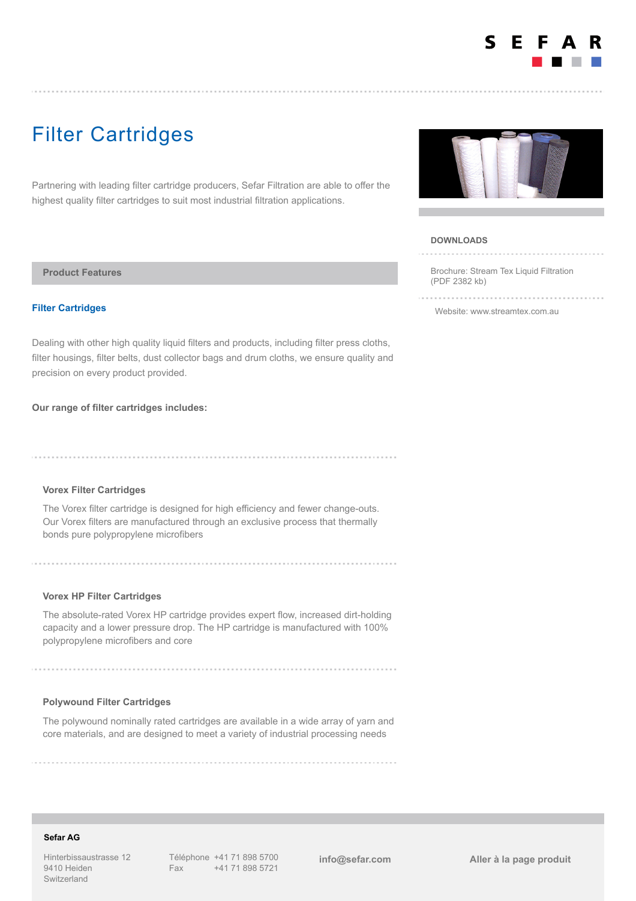

# Filter Cartridges

Partnering with leading filter cartridge producers, Sefar Filtration are able to offer the highest quality filter cartridges to suit most industrial filtration applications.

**Product Features**

## **Filter Cartridges**

Dealing with other high quality liquid filters and products, including filter press cloths, filter housings, filter belts, dust collector bags and drum cloths, we ensure quality and precision on every product provided.

#### **Our range of filter cartridges includes:**

## **Vorex Filter Cartridges**

The Vorex filter cartridge is designed for high efficiency and fewer change-outs. Our Vorex filters are manufactured through an exclusive process that thermally bonds pure polypropylene microfibers

## **Vorex HP Filter Cartridges**

The absolute-rated Vorex HP cartridge provides expert flow, increased dirt-holding capacity and a lower pressure drop. The HP cartridge is manufactured with 100% polypropylene microfibers and core

#### **Polywound Filter Cartridges**

The polywound nominally rated cartridges are available in a wide array of yarn and core materials, and are designed to meet a variety of industrial processing needs



#### **DOWNLOADS** and a strategic con-

[Brochure: Stream Tex Liquid Filtration](https://www.sefar.com/data/docs/fr/14036/FS-PDF-AUS-Stream-Tex-Liquid-Filtration-EN.pdf?v=1.0) (PDF 2382 kb)

[Website: www.streamtex.com.au](http://www.streamtex.com.au)

## **Sefar AG**

Hinterbissaustrasse 12 9410 Heiden Switzerland

Téléphone +41 71 898 5700 Fax +41 71 898 5721

**[info@sefar.com](mailto:info@sefar.com) [Aller à la page prod](https://www.sefar.com/fr/609/Filtration%20Industrielle/Mineral/Product.htm?Folder=6917148)uit**